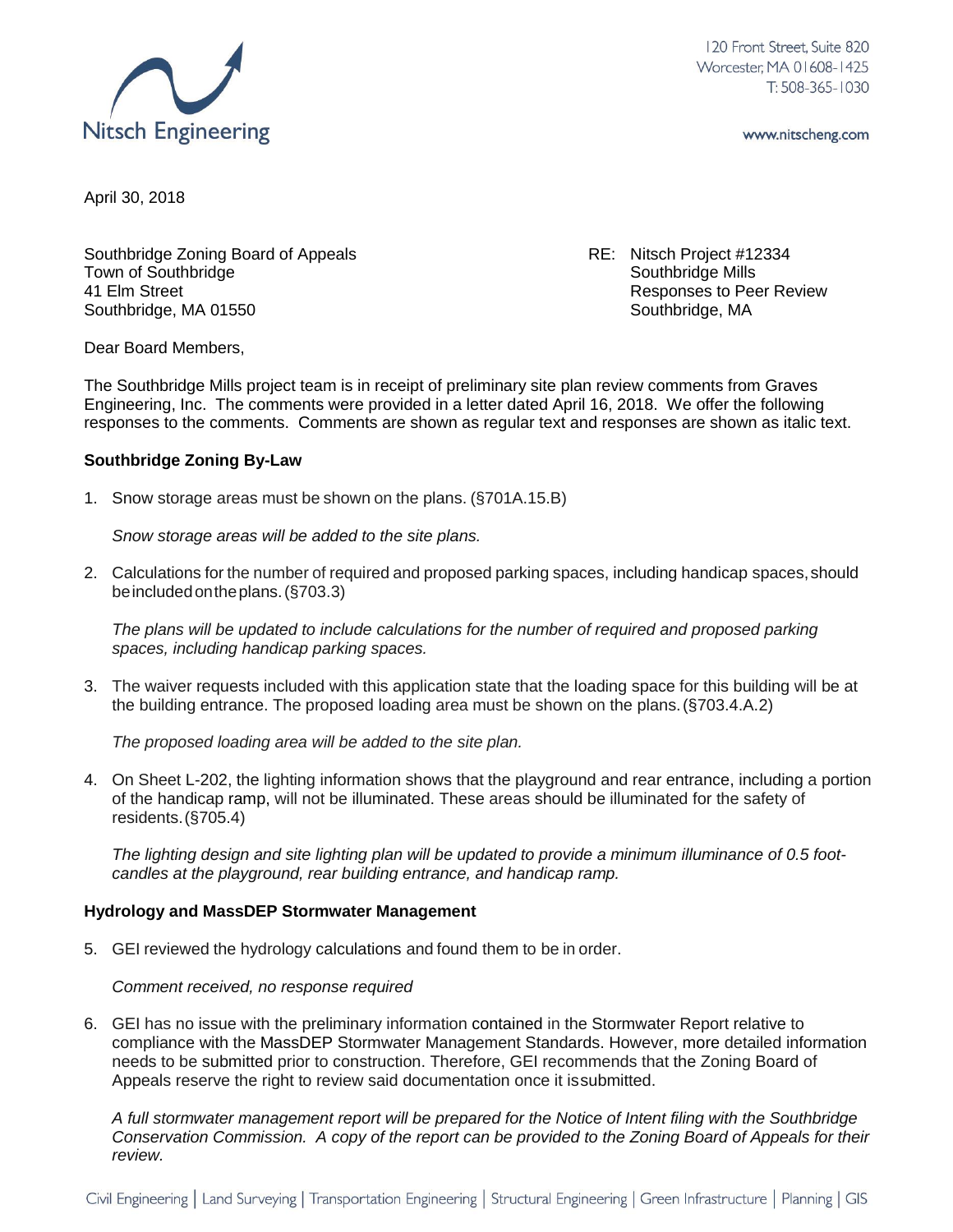

120 Front Street, Suite 820 Worcester, MA 01608-1425  $T: 508 - 365 - 1030$ 

www.nitscheng.com

April 30, 2018

Southbridge Zoning Board of Appeals **RE: Nitsch Project #12334** Town of Southbridge The Southbridge Mills and Southbridge Mills A Elm Street **A** Elm Street Responses to Peer Review Southbridge, MA 01550 Southbridge, MA

Dear Board Members,

The Southbridge Mills project team is in receipt of preliminary site plan review comments from Graves Engineering, Inc. The comments were provided in a letter dated April 16, 2018. We offer the following responses to the comments. Comments are shown as regular text and responses are shown as italic text.

### **Southbridge Zoning By-Law**

1. Snow storage areas must be shown on the plans. (§701A.15.B)

*Snow storage areas will be added to the site plans.*

2. Calculations for the number of required and proposed parking spaces, including handicap spaces, should beincludedontheplans.(§703.3)

*The plans will be updated to include calculations for the number of required and proposed parking spaces, including handicap parking spaces.*

3. The waiver requests included with this application state that the loading space for this building will be at the building entrance. The proposed loading area must be shown on the plans.(§703.4.A.2)

*The proposed loading area will be added to the site plan.*

4. On Sheet L-202, the lighting information shows that the playground and rear entrance, including a portion of the handicap ramp, will not be illuminated. These areas should be illuminated for the safety of residents.(§705.4)

*The lighting design and site lighting plan will be updated to provide a minimum illuminance of 0.5 footcandles at the playground, rear building entrance, and handicap ramp.*

#### **Hydrology and MassDEP Stormwater Management**

5. GEI reviewed the hydrology calculations and found them to be in order.

*Comment received, no response required*

6. GEI has no issue with the preliminary information contained in the Stormwater Report relative to compliance with the MassDEP Stormwater Management Standards. However, more detailed information needs to be submitted prior to construction. Therefore, GEI recommends that the Zoning Board of Appeals reserve the right to review said documentation once it issubmitted.

*A full stormwater management report will be prepared for the Notice of Intent filing with the Southbridge Conservation Commission. A copy of the report can be provided to the Zoning Board of Appeals for their review.*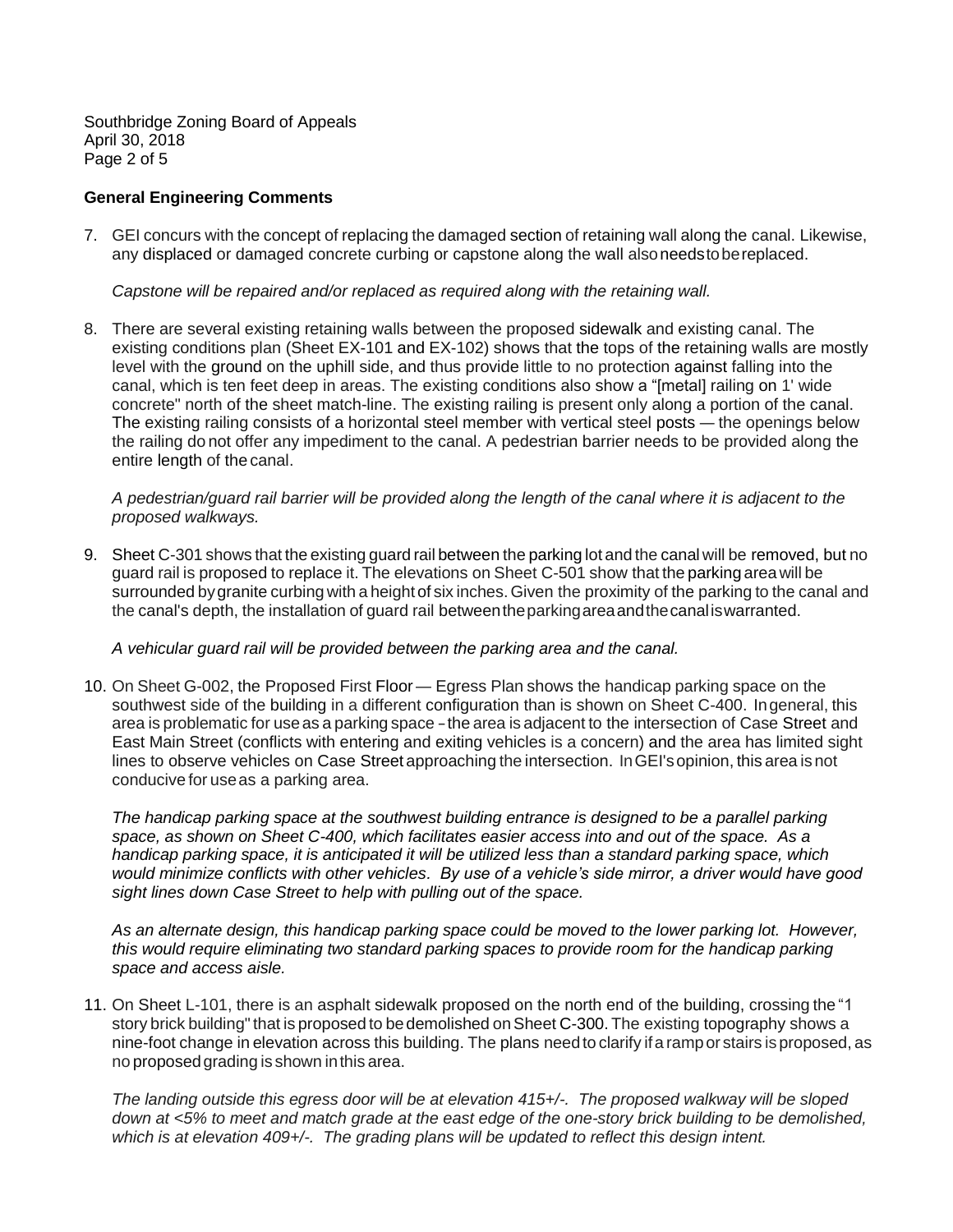Southbridge Zoning Board of Appeals April 30, 2018 Page 2 of 5

# **General Engineering Comments**

7. GEI concurs with the concept of replacing the damaged section of retaining wall along the canal. Likewise, any displaced or damaged concrete curbing or capstone along the wall alsoneedstobereplaced.

*Capstone will be repaired and/or replaced as required along with the retaining wall.*

8. There are several existing retaining walls between the proposed sidewalk and existing canal. The existing conditions plan (Sheet EX-101 and EX-102) shows that the tops of the retaining walls are mostly level with the ground on the uphill side, and thus provide little to no protection against falling into the canal, which is ten feet deep in areas. The existing conditions also show a "[metal] railing on 1' wide concrete" north of the sheet match-line. The existing railing is present only along a portion of the canal. The existing railing consists of a horizontal steel member with vertical steel posts — the openings below the railing do not offer any impediment to the canal. A pedestrian barrier needs to be provided along the entire length of the canal.

*A pedestrian/guard rail barrier will be provided along the length of the canal where it is adjacent to the proposed walkways.*

9. Sheet C-301 shows that the existing guard rail between the parking lot and the canal will be removed, but no guard rail is proposed to replace it. The elevations on Sheet C-501 show that the parking area will be surrounded by granite curbing with a height of six inches. Given the proximity of the parking to the canal and the canal's depth, the installation of guard rail betweentheparkingareaandthecanaliswarranted.

# *A vehicular guard rail will be provided between the parking area and the canal.*

10. On Sheet G-002, the Proposed First Floor — Egress Plan shows the handicap parking space on the southwest side of the building in a different configuration than is shown on Sheet C-400. Ingeneral, this area is problematic for useas <sup>a</sup> parking space -the area is adjacent to the intersection of Case Street and East Main Street (conflicts with entering and exiting vehicles is a concern) and the area has limited sight lines to observe vehicles on Case Street approaching the intersection. InGEI'sopinion, this area isnot conducive for useas a parking area.

*The handicap parking space at the southwest building entrance is designed to be a parallel parking space, as shown on Sheet C-400, which facilitates easier access into and out of the space. As a handicap parking space, it is anticipated it will be utilized less than a standard parking space, which would minimize conflicts with other vehicles. By use of a vehicle's side mirror, a driver would have good sight lines down Case Street to help with pulling out of the space.*

*As an alternate design, this handicap parking space could be moved to the lower parking lot. However, this would require eliminating two standard parking spaces to provide room for the handicap parking space and access aisle.*

11. On Sheet L-101, there is an asphalt sidewalk proposed on the north end of the building, crossing the "1 story brick building" that is proposed to be demolished on Sheet C-300. The existing topography shows a nine-foot change in elevation across this building. The plans need to clarify ifa rampor stairs isproposed, as no proposedgrading is shown inthis area.

*The landing outside this egress door will be at elevation 415+/-. The proposed walkway will be sloped down at <5% to meet and match grade at the east edge of the one-story brick building to be demolished, which is at elevation 409+/-. The grading plans will be updated to reflect this design intent.*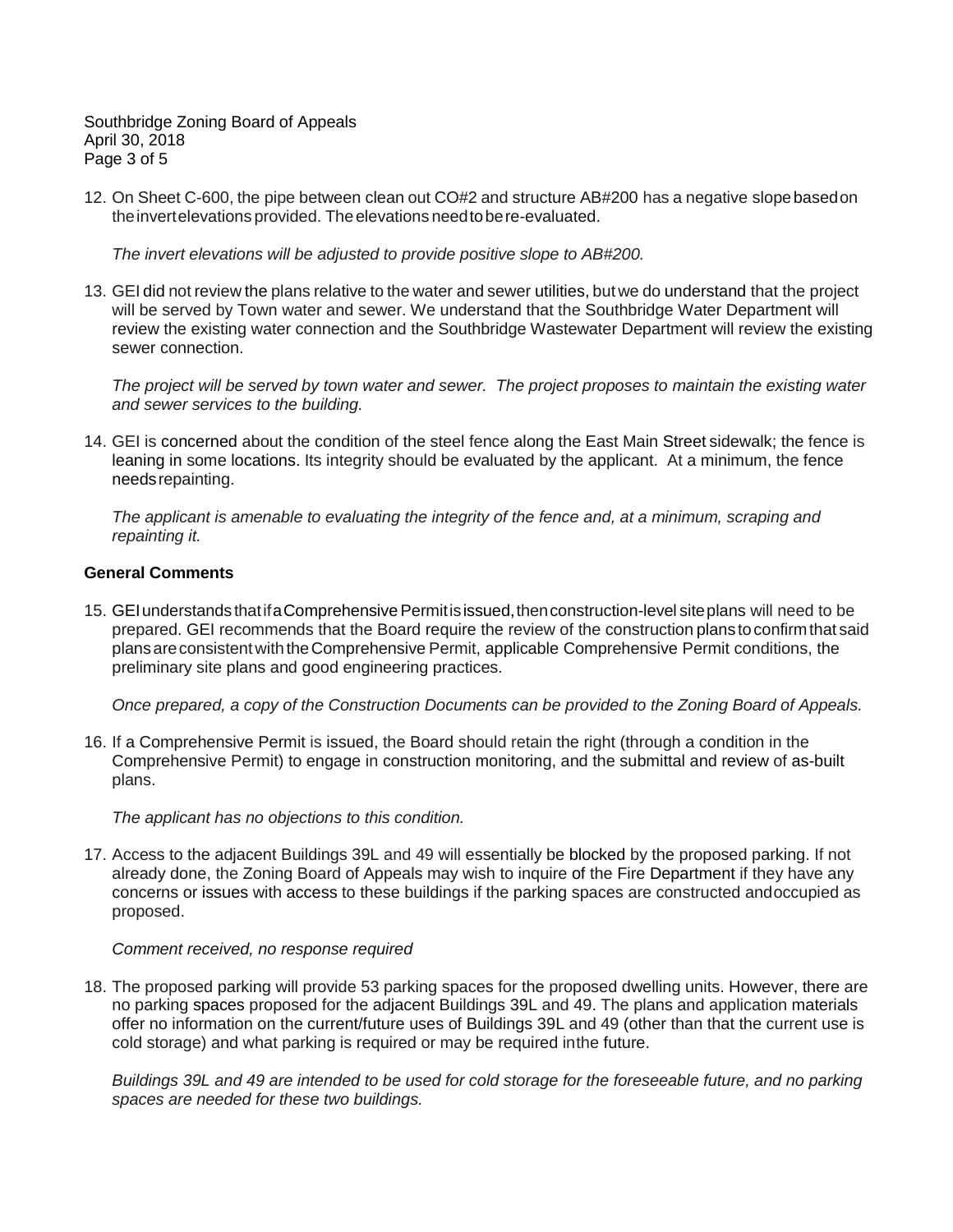Southbridge Zoning Board of Appeals April 30, 2018 Page 3 of 5

12. On Sheet C-600, the pipe between clean out CO#2 and structure AB#200 has a negative slopebasedon the invertelevations provided. The elevations need to be re-evaluated.

*The invert elevations will be adjusted to provide positive slope to AB#200.*

13. GEI did not review the plans relative to the water and sewer utilities, but we do understand that the project will be served by Town water and sewer. We understand that the Southbridge Water Department will review the existing water connection and the Southbridge Wastewater Department will review the existing sewer connection.

*The project will be served by town water and sewer. The project proposes to maintain the existing water and sewer services to the building.*

14. GEI is concerned about the condition of the steel fence along the East Main Street sidewalk; the fence is leaning in some locations. Its integrity should be evaluated by the applicant. At a minimum, the fence needsrepainting.

*The applicant is amenable to evaluating the integrity of the fence and, at a minimum, scraping and repainting it.*

### **General Comments**

15. GEI understands that if a Comprehensive Permit is issued, then construction-level site plans will need to be prepared. GEI recommends that the Board require the review of the construction plans toconfirmthat said plansareconsistent with theComprehensive Permit, applicable Comprehensive Permit conditions, the preliminary site plans and good engineering practices.

*Once prepared, a copy of the Construction Documents can be provided to the Zoning Board of Appeals.*

16. If a Comprehensive Permit is issued, the Board should retain the right (through a condition in the Comprehensive Permit) to engage in construction monitoring, and the submittal and review of as-built plans.

*The applicant has no objections to this condition.*

17. Access to the adjacent Buildings 39L and 49 will essentially be blocked by the proposed parking. If not already done, the Zoning Board of Appeals may wish to inquire of the Fire Department if they have any concerns or issues with access to these buildings if the parking spaces are constructed andoccupied as proposed.

# *Comment received, no response required*

18. The proposed parking will provide 53 parking spaces for the proposed dwelling units. However, there are no parking spaces proposed for the adjacent Buildings 39L and 49. The plans and application materials offer no information on the current/future uses of Buildings 39L and 49 (other than that the current use is cold storage) and what parking is required or may be required inthe future.

*Buildings 39L and 49 are intended to be used for cold storage for the foreseeable future, and no parking spaces are needed for these two buildings.*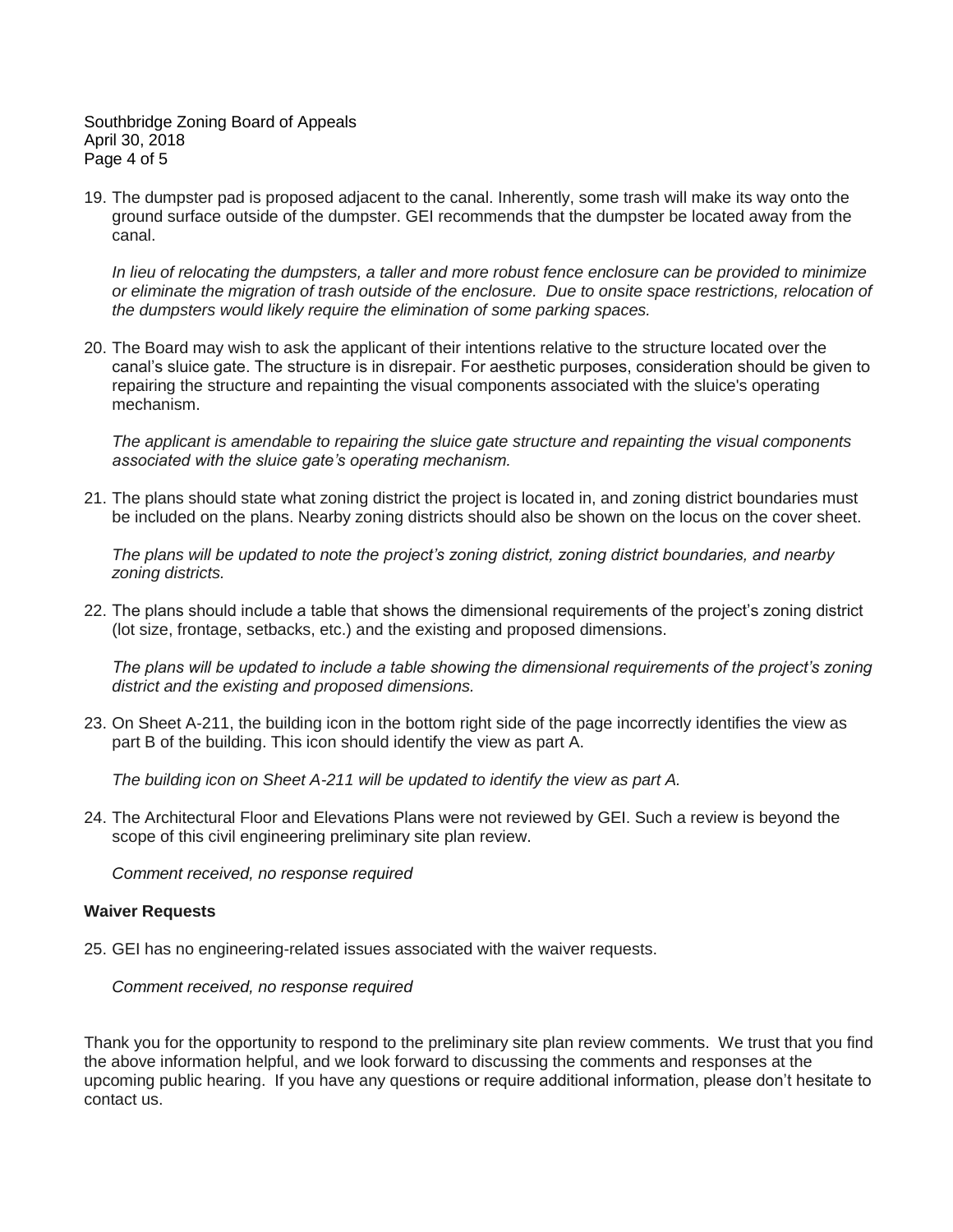Southbridge Zoning Board of Appeals April 30, 2018 Page 4 of 5

19. The dumpster pad is proposed adjacent to the canal. Inherently, some trash will make its way onto the ground surface outside of the dumpster. GEI recommends that the dumpster be located away from the canal.

*In lieu of relocating the dumpsters, a taller and more robust fence enclosure can be provided to minimize or eliminate the migration of trash outside of the enclosure. Due to onsite space restrictions, relocation of the dumpsters would likely require the elimination of some parking spaces.*

20. The Board may wish to ask the applicant of their intentions relative to the structure located over the canal's sluice gate. The structure is in disrepair. For aesthetic purposes, consideration should be given to repairing the structure and repainting the visual components associated with the sluice's operating mechanism.

*The applicant is amendable to repairing the sluice gate structure and repainting the visual components associated with the sluice gate's operating mechanism.*

21. The plans should state what zoning district the project is located in, and zoning district boundaries must be included on the plans. Nearby zoning districts should also be shown on the locus on the cover sheet.

*The plans will be updated to note the project's zoning district, zoning district boundaries, and nearby zoning districts.*

22. The plans should include a table that shows the dimensional requirements of the project's zoning district (lot size, frontage, setbacks, etc.) and the existing and proposed dimensions.

*The plans will be updated to include a table showing the dimensional requirements of the project's zoning district and the existing and proposed dimensions.*

23. On Sheet A-211, the building icon in the bottom right side of the page incorrectly identifies the view as part B of the building. This icon should identify the view as part A.

*The building icon on Sheet A-211 will be updated to identify the view as part A.*

24. The Architectural Floor and Elevations Plans were not reviewed by GEI. Such a review is beyond the scope of this civil engineering preliminary site plan review.

*Comment received, no response required*

#### **Waiver Requests**

25. GEI has no engineering-related issues associated with the waiver requests.

*Comment received, no response required*

Thank you for the opportunity to respond to the preliminary site plan review comments. We trust that you find the above information helpful, and we look forward to discussing the comments and responses at the upcoming public hearing. If you have any questions or require additional information, please don't hesitate to contact us.